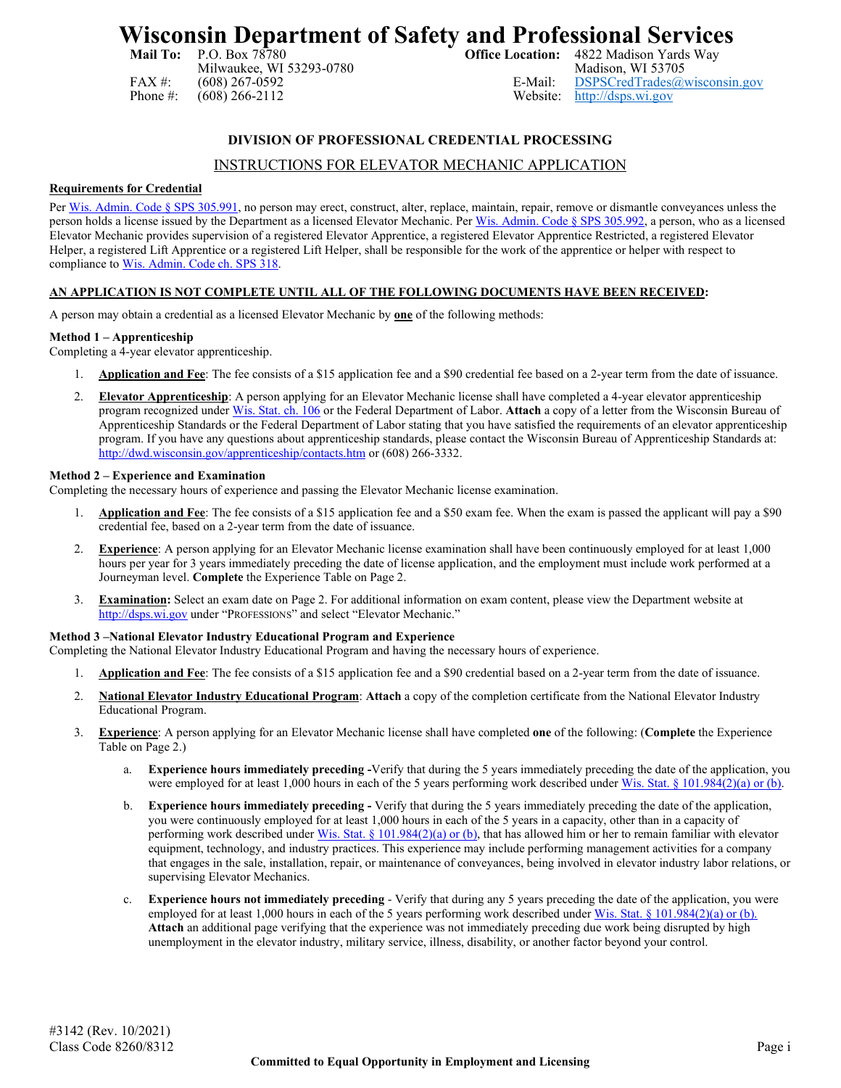# **Wisconsin Department of Safety and Professional Services**<br>Mail To: P.O. Box 78780<br>Office Location: 4822 Madison Yards Way

Milwaukee, WI 53293-0780<br>(608) 267-0592 E-Mail:

4822 Madison Yards Way<br>Madison, WI 53705 FAX #: (608) 267-0592 E-Mail: [DSPSCredTrades@wisconsin.gov](mailto:DSPSCredTrades@wisconsin.gov)<br>
Phone #: (608) 266-2112 Website: http://dsps.wi.gov [http://dsps.wi.gov](http://dsps.wi.gov/)

# **DIVISION OF PROFESSIONAL CREDENTIAL PROCESSING**

# INSTRUCTIONS FOR ELEVATOR MECHANIC APPLICATION

### **Requirements for Credential**

Per [Wis. Admin. Code § SPS 305.991,](https://docs.legis.wisconsin.gov/code/admin_code/sps/safety_and_buildings_and_environment/301_319/305/X/991) no person may erect, construct, alter, replace, maintain, repair, remove or dismantle conveyances unless the person holds a license issued by the Department as a licensed Elevator Mechanic. Pe[r Wis. Admin. Code § SPS 305.992,](https://docs.legis.wisconsin.gov/code/admin_code/sps/safety_and_buildings_and_environment/301_319/305/X/992) a person, who as a licensed Elevator Mechanic provides supervision of a registered Elevator Apprentice, a registered Elevator Apprentice Restricted, a registered Elevator Helper, a registered Lift Apprentice or a registered Lift Helper, shall be responsible for the work of the apprentice or helper with respect to compliance to [Wis. Admin. Code ch.](https://docs.legis.wisconsin.gov/code/admin_code/sps/safety_and_buildings_and_environment/301_319/318) SPS 318.

# **AN APPLICATION IS NOT COMPLETE UNTIL ALL OF THE FOLLOWING DOCUMENTS HAVE BEEN RECEIVED:**

A person may obtain a credential as a licensed Elevator Mechanic by **one** of the following methods:

# **Method 1 – Apprenticeship**

Completing a 4-year elevator apprenticeship.

- 1. **Application and Fee**: The fee consists of a \$15 application fee and a \$90 credential fee based on a 2-year term from the date of issuance.
- 2. **Elevator Apprenticeship**: A person applying for an Elevator Mechanic license shall have completed a 4-year elevator apprenticeship program recognized unde[r Wis. Stat. ch.](http://docs.legis.wisconsin.gov/statutes/statutes/106) 106 or the Federal Department of Labor. **Attach** a copy of a letter from the Wisconsin Bureau of Apprenticeship Standards or the Federal Department of Labor stating that you have satisfied the requirements of an elevator apprenticeship program. If you have any questions about apprenticeship standards, please contact the Wisconsin Bureau of Apprenticeship Standards at: <http://dwd.wisconsin.gov/apprenticeship/contacts.htm> or (608) 266-3332.

#### **Method 2 – Experience and Examination**

Completing the necessary hours of experience and passing the Elevator Mechanic license examination.

- 1. **Application and Fee**: The fee consists of a \$15 application fee and a \$50 exam fee. When the exam is passed the applicant will pay a \$90 credential fee, based on a 2-year term from the date of issuance.
- 2. **Experience**: A person applying for an Elevator Mechanic license examination shall have been continuously employed for at least 1,000 hours per year for 3 years immediately preceding the date of license application, and the employment must include work performed at a Journeyman level. **Complete** the Experience Table on Page 2.
- 3. **Examination:** Select an exam date on Page 2. For additional information on exam content, please view the Department website at [http://dsps.wi.gov](http://dsps.wi.gov/) under "PROFESSIONS" and select "Elevator Mechanic."

#### **Method 3 –National Elevator Industry Educational Program and Experience**

- Completing the National Elevator Industry Educational Program and having the necessary hours of experience.
	- 1. **Application and Fee**: The fee consists of a \$15 application fee and a \$90 credential based on a 2-year term from the date of issuance.
	- 2. **National Elevator Industry Educational Program**: **Attach** a copy of the completion certificate from the National Elevator Industry Educational Program.
	- 3. **Experience**: A person applying for an Elevator Mechanic license shall have completed **one** of the following: (**Complete** the Experience Table on Page 2.)
		- a. **Experience hours immediately preceding -**Verify that during the 5 years immediately preceding the date of the application, you were employed for at least 1,000 hours in each of the 5 years performing work described under Wis. Stat. § [101.984\(2\)\(a\) or \(b\).](http://docs.legis.wisconsin.gov/statutes/statutes/101/VII/984)
		- b. **Experience hours immediately preceding -** Verify that during the 5 years immediately preceding the date of the application, you were continuously employed for at least 1,000 hours in each of the 5 years in a capacity, other than in a capacity of performing work described under [Wis. Stat. § 101.984\(2\)\(a\) or \(b\),](http://docs.legis.wisconsin.gov/statutes/statutes/101/VII/984) that has allowed him or her to remain familiar with elevator equipment, technology, and industry practices. This experience may include performing management activities for a company that engages in the sale, installation, repair, or maintenance of conveyances, being involved in elevator industry labor relations, or supervising Elevator Mechanics.
		- c. **Experience hours not immediately preceding** Verify that during any 5 years preceding the date of the application, you were employed for at least 1,000 hours in each of the 5 years performing work described under Wis. Stat. § [101.984\(2\)\(a\) or \(b\).](http://docs.legis.wisconsin.gov/statutes/statutes/101/VII/984) **Attach** an additional page verifying that the experience was not immediately preceding due work being disrupted by high unemployment in the elevator industry, military service, illness, disability, or another factor beyond your control.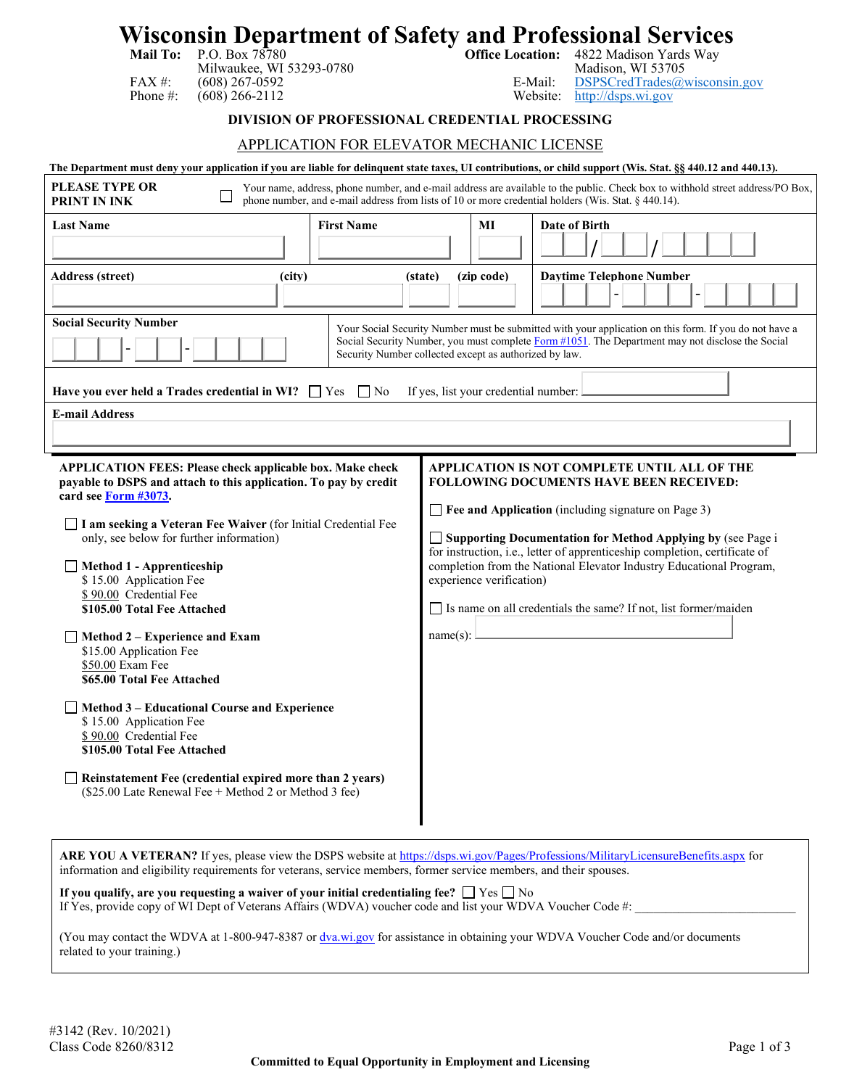# **Wisconsin Department of Safety and Professional Services**<br>Mail To: P.O. Box 78780<br>office Location: 4822 Madison Yards Way

Milwaukee, WI 53293-0780<br>(608) 267-0592 E-Mail: FAX #: (608) 267-0592 E-Mail: [DSPSCredTrades@wisconsin.gov](mailto:DSPSCredTrades@wisconsin.gov)<br>
Phone #: (608) 266-2112 Website: http://dsps.wi.gov

4822 Madison Yards Way<br>Madison, WI 53705 [http://dsps.wi.gov](http://dsps.wi.gov/)

# **DIVISION OF PROFESSIONAL CREDENTIAL PROCESSING**

# APPLICATION FOR ELEVATOR MECHANIC LICENSE

|                                                                                                                                                                                                                                                                                                                                                                                                                                                                                                                                                                                                                                                                                                                                                                      | The Department must deny your application if you are liable for delinquent state taxes, UI contributions, or child support (Wis. Stat. §§ 440.12 and 440.13).                                                                                                                                                                                                                                                                                                                                 |  |  |  |  |  |
|----------------------------------------------------------------------------------------------------------------------------------------------------------------------------------------------------------------------------------------------------------------------------------------------------------------------------------------------------------------------------------------------------------------------------------------------------------------------------------------------------------------------------------------------------------------------------------------------------------------------------------------------------------------------------------------------------------------------------------------------------------------------|-----------------------------------------------------------------------------------------------------------------------------------------------------------------------------------------------------------------------------------------------------------------------------------------------------------------------------------------------------------------------------------------------------------------------------------------------------------------------------------------------|--|--|--|--|--|
| <b>PLEASE TYPE OR</b><br>Your name, address, phone number, and e-mail address are available to the public. Check box to withhold street address/PO Box,<br>phone number, and e-mail address from lists of 10 or more credential holders (Wis. Stat. § 440.14).<br>PRINT IN INK                                                                                                                                                                                                                                                                                                                                                                                                                                                                                       |                                                                                                                                                                                                                                                                                                                                                                                                                                                                                               |  |  |  |  |  |
| <b>First Name</b><br><b>Last Name</b>                                                                                                                                                                                                                                                                                                                                                                                                                                                                                                                                                                                                                                                                                                                                | Date of Birth<br>MI                                                                                                                                                                                                                                                                                                                                                                                                                                                                           |  |  |  |  |  |
| <b>Address (street)</b><br>(city)                                                                                                                                                                                                                                                                                                                                                                                                                                                                                                                                                                                                                                                                                                                                    | <b>Daytime Telephone Number</b><br>(zip code)<br>(state)                                                                                                                                                                                                                                                                                                                                                                                                                                      |  |  |  |  |  |
| <b>Social Security Number</b>                                                                                                                                                                                                                                                                                                                                                                                                                                                                                                                                                                                                                                                                                                                                        | Your Social Security Number must be submitted with your application on this form. If you do not have a<br>Social Security Number, you must complete Form #1051. The Department may not disclose the Social<br>Security Number collected except as authorized by law.                                                                                                                                                                                                                          |  |  |  |  |  |
| $\Box$ No<br>Have you ever held a Trades credential in WI? $\Box$ Yes                                                                                                                                                                                                                                                                                                                                                                                                                                                                                                                                                                                                                                                                                                | If yes, list your credential number:                                                                                                                                                                                                                                                                                                                                                                                                                                                          |  |  |  |  |  |
| <b>E-mail Address</b>                                                                                                                                                                                                                                                                                                                                                                                                                                                                                                                                                                                                                                                                                                                                                |                                                                                                                                                                                                                                                                                                                                                                                                                                                                                               |  |  |  |  |  |
| <b>APPLICATION FEES: Please check applicable box. Make check</b><br>payable to DSPS and attach to this application. To pay by credit<br>card see Form #3073.<br>□ I am seeking a Veteran Fee Waiver (for Initial Credential Fee<br>only, see below for further information)<br>Method 1 - Apprenticeship<br>\$15.00 Application Fee<br>\$90.00 Credential Fee<br>\$105.00 Total Fee Attached<br>Method 2 – Experience and Exam<br>\$15.00 Application Fee<br>\$50.00 Exam Fee<br>\$65.00 Total Fee Attached<br>Method 3 – Educational Course and Experience<br>\$15.00 Application Fee<br>\$90.00 Credential Fee<br>\$105.00 Total Fee Attached<br>Reinstatement Fee (credential expired more than 2 years)<br>(\$25.00 Late Renewal Fee + Method 2 or Method 3 fee) | APPLICATION IS NOT COMPLETE UNTIL ALL OF THE<br><b>FOLLOWING DOCUMENTS HAVE BEEN RECEIVED:</b><br>$\Box$ Fee and Application (including signature on Page 3)<br>□ Supporting Documentation for Method Applying by (see Page i<br>for instruction, i.e., letter of apprenticeship completion, certificate of<br>completion from the National Elevator Industry Educational Program,<br>experience verification)<br>Is name on all credentials the same? If not, list former/maiden<br>name(s): |  |  |  |  |  |

ARE YOU A VETERAN? If yes, please view the DSPS website at<https://dsps.wi.gov/Pages/Professions/MilitaryLicensureBenefits.aspx> for information and eligibility requirements for veterans, service members, former service members, and their spouses.

**If you qualify, are you requesting a waiver of your initial credentialing fee?**  $\Box$  Yes  $\Box$  No If Yes, provide copy of WI Dept of Veterans Affairs (WDVA) voucher code and list your WDVA Voucher Code #:

(You may contact the WDVA at 1-800-947-8387 or [dva.wi.gov](https://dva.wi.gov/Pages/Home.aspx) for assistance in obtaining your WDVA Voucher Code and/or documents related to your training.)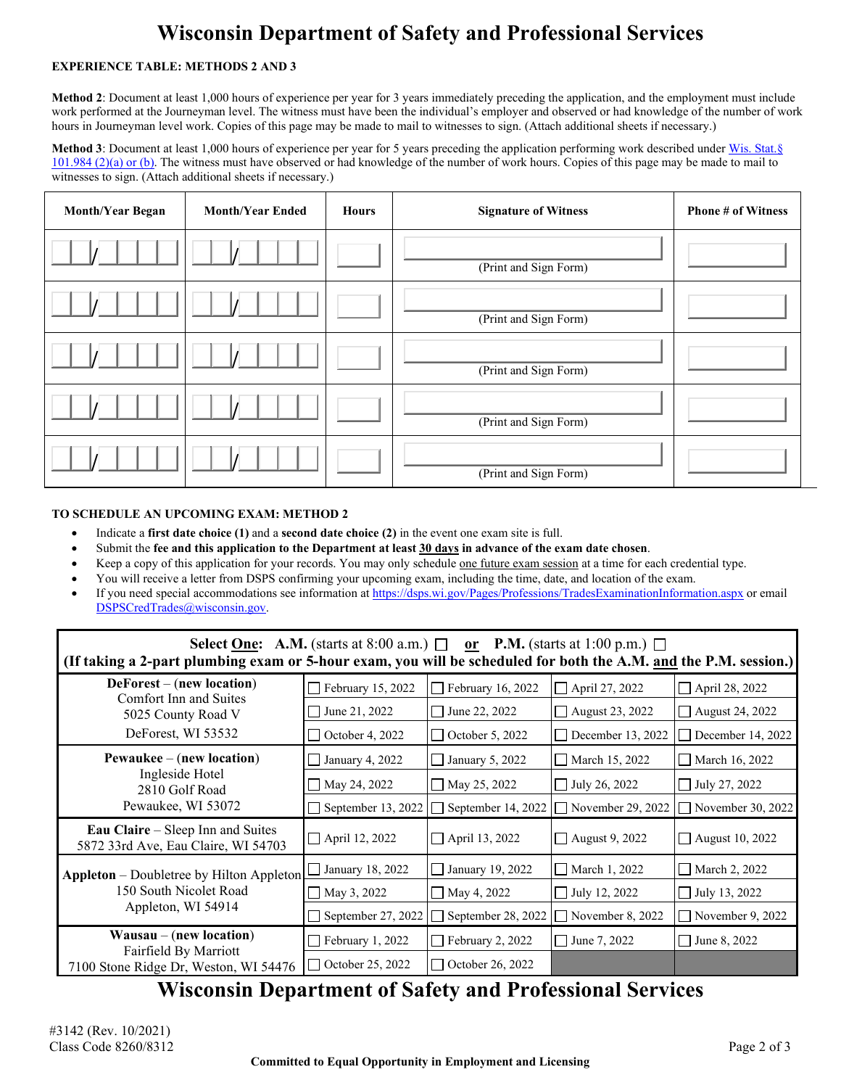# **Wisconsin Department of Safety and Professional Services**

# **EXPERIENCE TABLE: METHODS 2 AND 3**

**Method 2**: Document at least 1,000 hours of experience per year for 3 years immediately preceding the application, and the employment must include work performed at the Journeyman level. The witness must have been the individual's employer and observed or had knowledge of the number of work hours in Journeyman level work. Copies of this page may be made to mail to witnesses to sign. (Attach additional sheets if necessary.)

**Method 3**: Document at least 1,000 hours of experience per year for 5 years preceding the application performing work described unde[r Wis. Stat.§](https://docs.legis.wisconsin.gov/statutes/statutes/101/vii/984/2/a)  [101.984 \(2\)\(a\) or \(b\).](https://docs.legis.wisconsin.gov/statutes/statutes/101/vii/984/2/a) The witness must have observed or had knowledge of the number of work hours. Copies of this page may be made to mail to witnesses to sign. (Attach additional sheets if necessary.)

| <b>Month/Year Began</b> | <b>Month/Year Ended</b> | <b>Hours</b> | <b>Signature of Witness</b> | <b>Phone # of Witness</b> |
|-------------------------|-------------------------|--------------|-----------------------------|---------------------------|
|                         |                         |              | (Print and Sign Form)       |                           |
|                         |                         |              | (Print and Sign Form)       |                           |
|                         |                         |              | (Print and Sign Form)       |                           |
|                         |                         |              | (Print and Sign Form)       |                           |
|                         |                         |              | (Print and Sign Form)       |                           |

# **TO SCHEDULE AN UPCOMING EXAM: METHOD 2**

- Indicate a **first date choice (1)** and a **second date choice (2)** in the event one exam site is full.
- Submit the **fee and this application to the Department at least 30 days in advance of the exam date chosen**.
- Keep a copy of this application for your records. You may only schedule one future exam session at a time for each credential type.
- You will receive a letter from DSPS confirming your upcoming exam, including the time, date, and location of the exam.
- If you need special accommodations see information a[t https://dsps.wi.gov/Pages/Professions/TradesExaminationInformation.aspx](https://dsps.wi.gov/Pages/Professions/TradesExaminationInformation.aspx) or email [DSPSCredTrades@wisconsin.gov.](mailto:DSPSCredTrades@wisconsin.gov)

| <b>Select <u>One</u>:</b> A.M. (starts at 8:00 a.m.) $\Box$ or <b>P.M.</b> (starts at 1:00 p.m.) $\Box$<br>(If taking a 2-part plumbing exam or 5-hour exam, you will be scheduled for both the A.M. and the P.M. session.) |                         |                                             |                                            |                         |  |  |  |
|-----------------------------------------------------------------------------------------------------------------------------------------------------------------------------------------------------------------------------|-------------------------|---------------------------------------------|--------------------------------------------|-------------------------|--|--|--|
| $DeForest - (new location)$<br>Comfort Inn and Suites<br>5025 County Road V<br>DeForest, WI 53532                                                                                                                           | February 15, 2022       | February 16, 2022<br>$\mathsf{L}$           | $\Box$ April 27, 2022                      | April 28, 2022          |  |  |  |
|                                                                                                                                                                                                                             | June 21, 2022           | June 22, 2022<br>$\blacksquare$             | August 23, 2022                            | August 24, 2022         |  |  |  |
|                                                                                                                                                                                                                             | $\Box$ October 4, 2022  | $\Box$ October 5, 2022                      | $\Box$ December 13, 2022                   | December 14, 2022       |  |  |  |
| $P$ ewaukee – (new location)<br>Ingleside Hotel<br>2810 Golf Road<br>Pewaukee, WI 53072                                                                                                                                     | January 4, 2022         | January 5, 2022<br>$\Box$                   | March 15, 2022                             | March 16, 2022          |  |  |  |
|                                                                                                                                                                                                                             | May 24, 2022            | $\Box$ July 26, 2022<br>$\Box$ May 25, 2022 |                                            | $\Box$ July 27, 2022    |  |  |  |
|                                                                                                                                                                                                                             | September 13, 2022      | September 14, 2022<br>$\perp$               | November 29, 2022                          | November 30, $2022$     |  |  |  |
| Eau Claire – Sleep Inn and Suites<br>5872 33rd Ave, Eau Claire, WI 54703                                                                                                                                                    | $\Box$ April 12, 2022   | $\Box$ April 13, 2022                       | □ August 9, 2022                           | $\Box$ August 10, 2022  |  |  |  |
| <b>Appleton</b> – Doubletree by Hilton Appleton<br>150 South Nicolet Road<br>Appleton, WI 54914                                                                                                                             | January 18, 2022        | January 19, 2022<br>$\mathbf{L}$            | $\Box$ March 1, 2022                       | $\Box$ March 2, 2022    |  |  |  |
|                                                                                                                                                                                                                             | $\Box$ May 3, 2022      | $\Box$ May 4, 2022                          | $\Box$ July 12, 2022                       | $\Box$ July 13, 2022    |  |  |  |
|                                                                                                                                                                                                                             | September 27, 2022      | $\perp$                                     | September 28, 2022 $\Box$ November 8, 2022 | $\Box$ November 9, 2022 |  |  |  |
| $Wausau - (new location)$<br>Fairfield By Marriott                                                                                                                                                                          | $\Box$ February 1, 2022 | February 2, 2022<br>$\Box$                  | $\Box$ June 7, 2022                        | June 8, 2022            |  |  |  |
| 7100 Stone Ridge Dr, Weston, WI 54476                                                                                                                                                                                       | $\Box$ October 25, 2022 | $\Box$ October 26, 2022                     |                                            |                         |  |  |  |

# **Wisconsin Department of Safety and Professional Services**